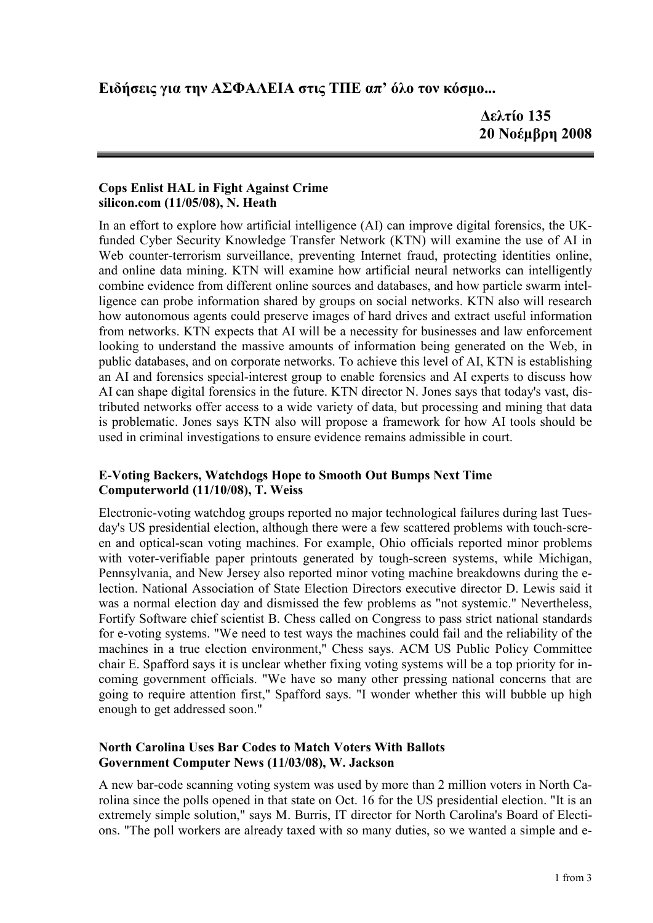# **Ειδήσεις για την ΑΣΦΑΛΕΙΑ στις ΤΠΕ απ' όλο τον κόσµο...**

### **Cops Enlist HAL in Fight Against Crime silicon.com (11/05/08), N. Heath**

In an effort to explore how artificial intelligence (AI) can improve digital forensics, the UKfunded Cyber Security Knowledge Transfer Network (KTN) will examine the use of AI in Web counter-terrorism surveillance, preventing Internet fraud, protecting identities online, and online data mining. KTN will examine how artificial neural networks can intelligently combine evidence from different online sources and databases, and how particle swarm intelligence can probe information shared by groups on social networks. KTN also will research how autonomous agents could preserve images of hard drives and extract useful information from networks. KTN expects that AI will be a necessity for businesses and law enforcement looking to understand the massive amounts of information being generated on the Web, in public databases, and on corporate networks. To achieve this level of AI, KTN is establishing an AI and forensics special-interest group to enable forensics and AI experts to discuss how AI can shape digital forensics in the future. KTN director N. Jones says that today's vast, distributed networks offer access to a wide variety of data, but processing and mining that data is problematic. Jones says KTN also will propose a framework for how AI tools should be used in criminal investigations to ensure evidence remains admissible in court.

## **E-Voting Backers, Watchdogs Hope to Smooth Out Bumps Next Time Computerworld (11/10/08), T. Weiss**

Electronic-voting watchdog groups reported no major technological failures during last Tuesday's US presidential election, although there were a few scattered problems with touch-screen and optical-scan voting machines. For example, Ohio officials reported minor problems with voter-verifiable paper printouts generated by tough-screen systems, while Michigan, Pennsylvania, and New Jersey also reported minor voting machine breakdowns during the election. National Association of State Election Directors executive director D. Lewis said it was a normal election day and dismissed the few problems as "not systemic." Nevertheless, Fortify Software chief scientist B. Chess called on Congress to pass strict national standards for e-voting systems. "We need to test ways the machines could fail and the reliability of the machines in a true election environment," Chess says. ACM US Public Policy Committee chair E. Spafford says it is unclear whether fixing voting systems will be a top priority for incoming government officials. "We have so many other pressing national concerns that are going to require attention first," Spafford says. "I wonder whether this will bubble up high enough to get addressed soon."

## **North Carolina Uses Bar Codes to Match Voters With Ballots Government Computer News (11/03/08), W. Jackson**

A new bar-code scanning voting system was used by more than 2 million voters in North Carolina since the polls opened in that state on Oct. 16 for the US presidential election. "It is an extremely simple solution," says M. Burris, IT director for North Carolina's Board of Elections. "The poll workers are already taxed with so many duties, so we wanted a simple and e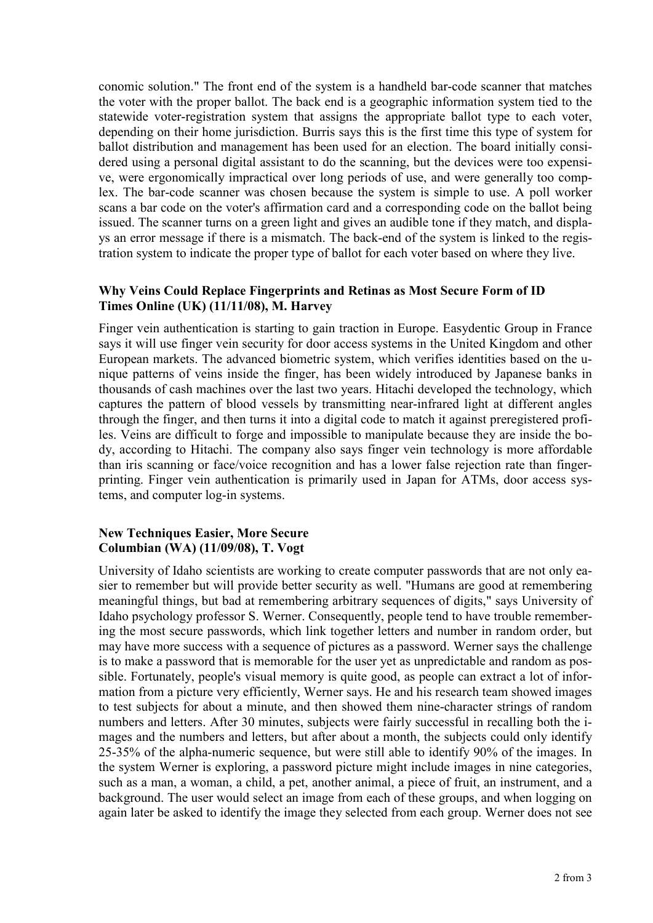conomic solution." The front end of the system is a handheld bar-code scanner that matches the voter with the proper ballot. The back end is a geographic information system tied to the statewide voter-registration system that assigns the appropriate ballot type to each voter, depending on their home jurisdiction. Burris says this is the first time this type of system for ballot distribution and management has been used for an election. The board initially considered using a personal digital assistant to do the scanning, but the devices were too expensive, were ergonomically impractical over long periods of use, and were generally too complex. The bar-code scanner was chosen because the system is simple to use. A poll worker scans a bar code on the voter's affirmation card and a corresponding code on the ballot being issued. The scanner turns on a green light and gives an audible tone if they match, and displays an error message if there is a mismatch. The back-end of the system is linked to the registration system to indicate the proper type of ballot for each voter based on where they live.

# **Why Veins Could Replace Fingerprints and Retinas as Most Secure Form of ID Times Online (UK) (11/11/08), M. Harvey**

Finger vein authentication is starting to gain traction in Europe. Easydentic Group in France says it will use finger vein security for door access systems in the United Kingdom and other European markets. The advanced biometric system, which verifies identities based on the unique patterns of veins inside the finger, has been widely introduced by Japanese banks in thousands of cash machines over the last two years. Hitachi developed the technology, which captures the pattern of blood vessels by transmitting near-infrared light at different angles through the finger, and then turns it into a digital code to match it against preregistered profiles. Veins are difficult to forge and impossible to manipulate because they are inside the body, according to Hitachi. The company also says finger vein technology is more affordable than iris scanning or face/voice recognition and has a lower false rejection rate than fingerprinting. Finger vein authentication is primarily used in Japan for ATMs, door access systems, and computer log-in systems.

### **New Techniques Easier, More Secure Columbian (WA) (11/09/08), T. Vogt**

University of Idaho scientists are working to create computer passwords that are not only easier to remember but will provide better security as well. "Humans are good at remembering meaningful things, but bad at remembering arbitrary sequences of digits," says University of Idaho psychology professor S. Werner. Consequently, people tend to have trouble remembering the most secure passwords, which link together letters and number in random order, but may have more success with a sequence of pictures as a password. Werner says the challenge is to make a password that is memorable for the user yet as unpredictable and random as possible. Fortunately, people's visual memory is quite good, as people can extract a lot of information from a picture very efficiently, Werner says. He and his research team showed images to test subjects for about a minute, and then showed them nine-character strings of random numbers and letters. After 30 minutes, subjects were fairly successful in recalling both the images and the numbers and letters, but after about a month, the subjects could only identify 25-35% of the alpha-numeric sequence, but were still able to identify 90% of the images. In the system Werner is exploring, a password picture might include images in nine categories, such as a man, a woman, a child, a pet, another animal, a piece of fruit, an instrument, and a background. The user would select an image from each of these groups, and when logging on again later be asked to identify the image they selected from each group. Werner does not see